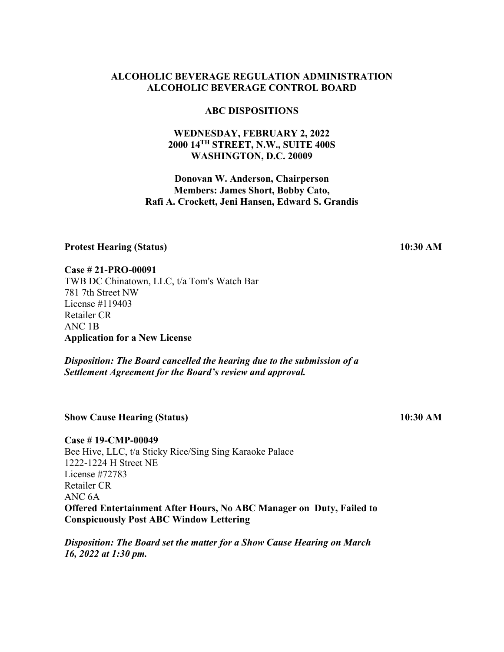### **ABC DISPOSITIONS**

### **WEDNESDAY, FEBRUARY 2, 2022 2000 14TH STREET, N.W., SUITE 400S WASHINGTON, D.C. 20009**

## **Donovan W. Anderson, Chairperson Members: James Short, Bobby Cato, Rafi A. Crockett, Jeni Hansen, Edward S. Grandis**

### **Protest Hearing (Status)**

**Case # 21-PRO-00091**

TWB DC Chinatown, LLC, t/a Tom's Watch Bar 781 7th Street NW License #119403 Retailer CR ANC 1B **Application for a New License**

*Disposition: The Board cancelled the hearing due to the submission of a Settlement Agreement for the Board's review and approval.* 

**Show Cause Hearing (Status)**

**Case # 19-CMP-00049** Bee Hive, LLC, t/a Sticky Rice/Sing Sing Karaoke Palace 1222-1224 H Street NE License #72783 Retailer CR ANC 6A **Offered Entertainment After Hours, No ABC Manager on Duty, Failed to Conspicuously Post ABC Window Lettering**

*Disposition: The Board set the matter for a Show Cause Hearing on March 16, 2022 at 1:30 pm.*

**10:30 AM**

**10:30 AM**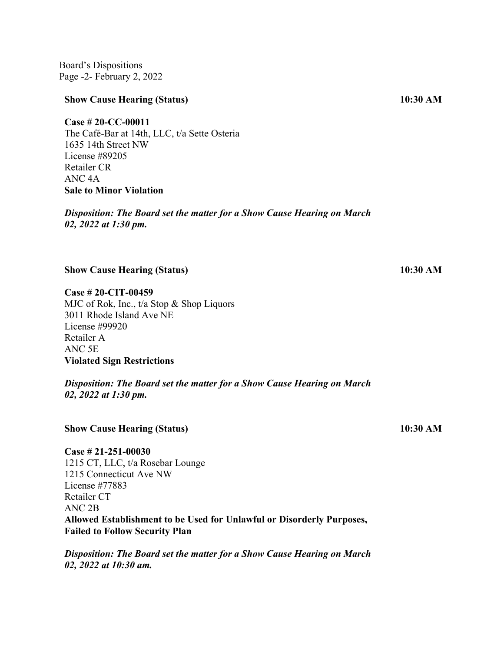Board's Dispositions Page -2- February 2, 2022

#### **Show Cause Hearing (Status)**

### **Case # 20-CC-00011**

The Café-Bar at 14th, LLC, t/a Sette Osteria 1635 14th Street NW License #89205 Retailer CR ANC 4A **Sale to Minor Violation**

*Disposition: The Board set the matter for a Show Cause Hearing on March 02, 2022 at 1:30 pm.* 

**Show Cause Hearing (Status)**

**Case # 20-CIT-00459** MJC of Rok, Inc., t/a Stop & Shop Liquors 3011 Rhode Island Ave NE License #99920 Retailer A ANC 5E **Violated Sign Restrictions**

*Disposition: The Board set the matter for a Show Cause Hearing on March 02, 2022 at 1:30 pm.*

#### **Show Cause Hearing (Status)**

**Case # 21-251-00030** 1215 CT, LLC, t/a Rosebar Lounge 1215 Connecticut Ave NW License #77883 Retailer CT ANC 2B **Allowed Establishment to be Used for Unlawful or Disorderly Purposes, Failed to Follow Security Plan**

*Disposition: The Board set the matter for a Show Cause Hearing on March 02, 2022 at 10:30 am.* 

**10:30 AM**

**10:30 AM**

**10:30 AM**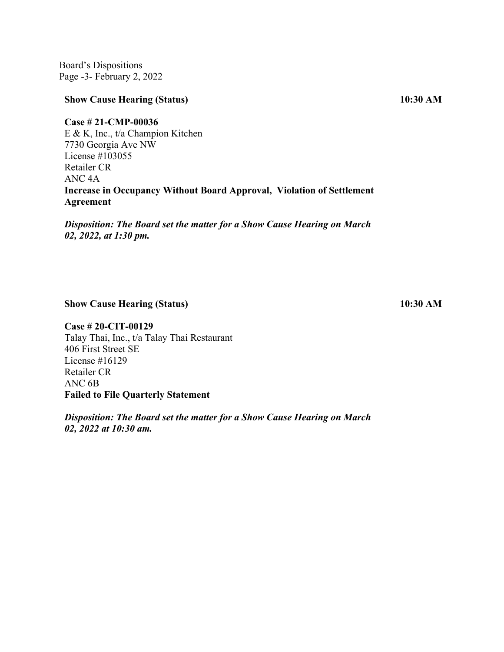Board's Dispositions Page -3- February 2, 2022

#### **Show Cause Hearing (Status)**

**Case # 21-CMP-00036**

E & K, Inc., t/a Champion Kitchen 7730 Georgia Ave NW License #103055 Retailer CR ANC 4A **Increase in Occupancy Without Board Approval, Violation of Settlement Agreement**

*Disposition: The Board set the matter for a Show Cause Hearing on March 02, 2022, at 1:30 pm.* 

**Show Cause Hearing (Status)**

**Case # 20-CIT-00129** Talay Thai, Inc., t/a Talay Thai Restaurant 406 First Street SE License #16129 Retailer CR ANC 6B **Failed to File Quarterly Statement**

*Disposition: The Board set the matter for a Show Cause Hearing on March 02, 2022 at 10:30 am.*

**10:30 AM**

**10:30 AM**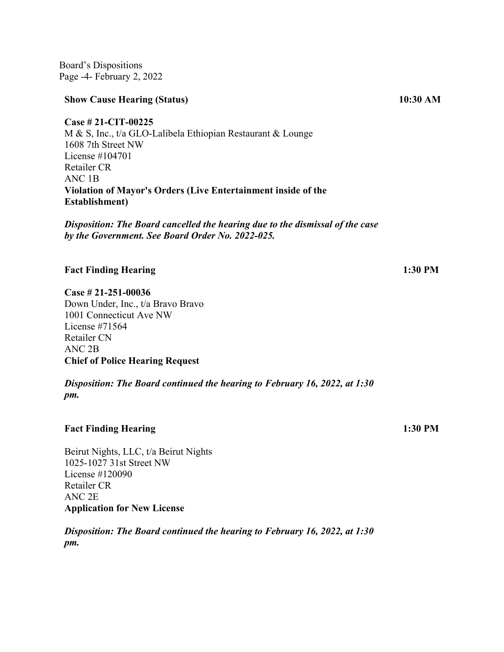Board's Dispositions Page -4- February 2, 2022

#### **Show Cause Hearing (Status)**

**Case # 21-CIT-00225** M & S, Inc., t/a GLO-Lalibela Ethiopian Restaurant & Lounge 1608 7th Street NW License #104701 Retailer CR ANC 1B **Violation of Mayor's Orders (Live Entertainment inside of the Establishment)** 

*Disposition: The Board cancelled the hearing due to the dismissal of the case by the Government. See Board Order No. 2022-025.* 

### **Fact Finding Hearing**

**Case # 21-251-00036**

Down Under, Inc., t/a Bravo Bravo 1001 Connecticut Ave NW License #71564 Retailer CN ANC 2B **Chief of Police Hearing Request**

*Disposition: The Board continued the hearing to February 16, 2022, at 1:30 pm.*

#### **Fact Finding Hearing**

Beirut Nights, LLC, t/a Beirut Nights 1025-1027 31st Street NW License #120090 Retailer CR ANC 2E **Application for New License**

*Disposition: The Board continued the hearing to February 16, 2022, at 1:30 pm.*

 **10:30 AM**

**1:30 PM**

**1:30 PM**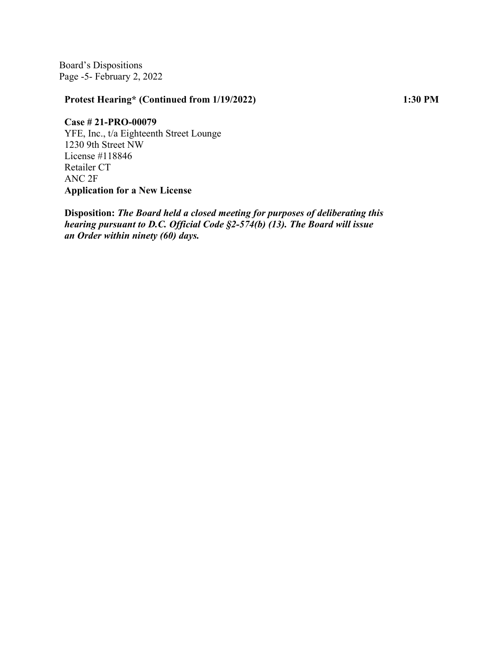Board's Dispositions Page -5- February 2, 2022

## **Protest Hearing\* (Continued from 1/19/2022)**

**1:30 PM**

**Case # 21-PRO-00079** YFE, Inc., t/a Eighteenth Street Lounge 1230 9th Street NW License #118846 Retailer CT ANC 2F **Application for a New License**

**Disposition:** *The Board held a closed meeting for purposes of deliberating this hearing pursuant to D.C. Official Code §2-574(b) (13). The Board will issue an Order within ninety (60) days.*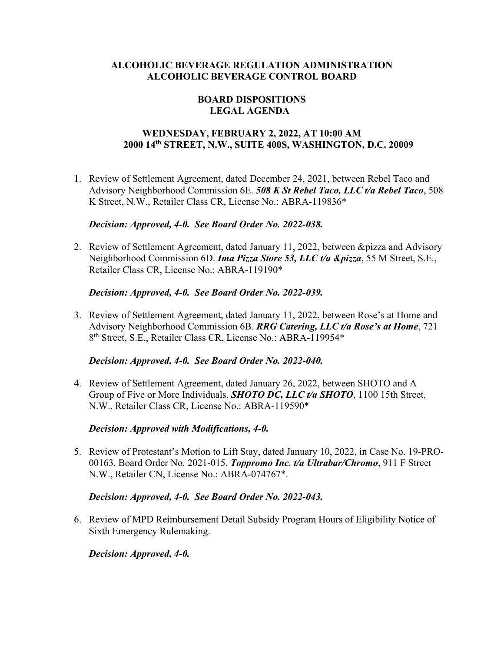## **BOARD DISPOSITIONS LEGAL AGENDA**

## **WEDNESDAY, FEBRUARY 2, 2022, AT 10:00 AM 2000 14th STREET, N.W., SUITE 400S, WASHINGTON, D.C. 20009**

1. Review of Settlement Agreement, dated December 24, 2021, between Rebel Taco and Advisory Neighborhood Commission 6E. *508 K St Rebel Taco, LLC t/a Rebel Taco*, 508 K Street, N.W., Retailer Class CR, License No.: ABRA-119836\*

## *Decision: Approved, 4-0. See Board Order No. 2022-038.*

2. Review of Settlement Agreement, dated January 11, 2022, between &pizza and Advisory Neighborhood Commission 6D. *Ima Pizza Store 53, LLC t/a &pizza*, 55 M Street, S.E., Retailer Class CR, License No.: ABRA-119190\*

## *Decision: Approved, 4-0. See Board Order No. 2022-039.*

3. Review of Settlement Agreement, dated January 11, 2022, between Rose's at Home and Advisory Neighborhood Commission 6B. *RRG Catering, LLC t/a Rose's at Home*, 721 8th Street, S.E., Retailer Class CR, License No.: ABRA-119954\*

### *Decision: Approved, 4-0. See Board Order No. 2022-040.*

4. Review of Settlement Agreement, dated January 26, 2022, between SHOTO and A Group of Five or More Individuals. *SHOTO DC, LLC t/a SHOTO*, 1100 15th Street, N.W., Retailer Class CR, License No.: ABRA-119590\*

## *Decision: Approved with Modifications, 4-0.*

5. Review of Protestant's Motion to Lift Stay, dated January 10, 2022, in Case No. 19-PRO-00163. Board Order No. 2021-015. *Toppromo Inc. t/a Ultrabar/Chromo*, 911 F Street N.W., Retailer CN, License No.: ABRA-074767\*.

### *Decision: Approved, 4-0. See Board Order No. 2022-043.*

6. Review of MPD Reimbursement Detail Subsidy Program Hours of Eligibility Notice of Sixth Emergency Rulemaking.

*Decision: Approved, 4-0.*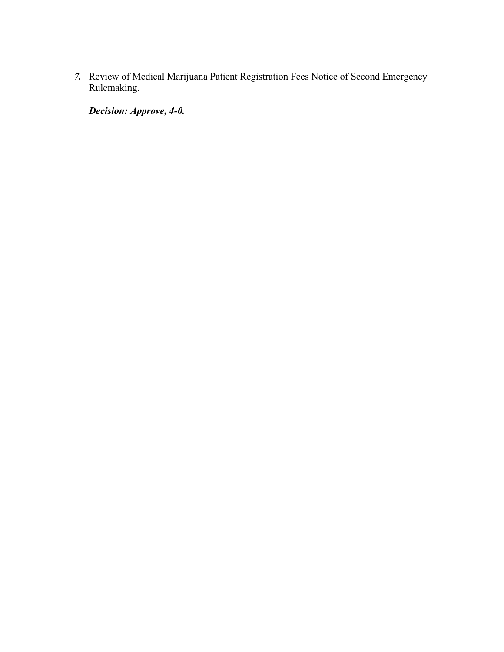*7.* Review of Medical Marijuana Patient Registration Fees Notice of Second Emergency Rulemaking.

*Decision: Approve, 4-0.*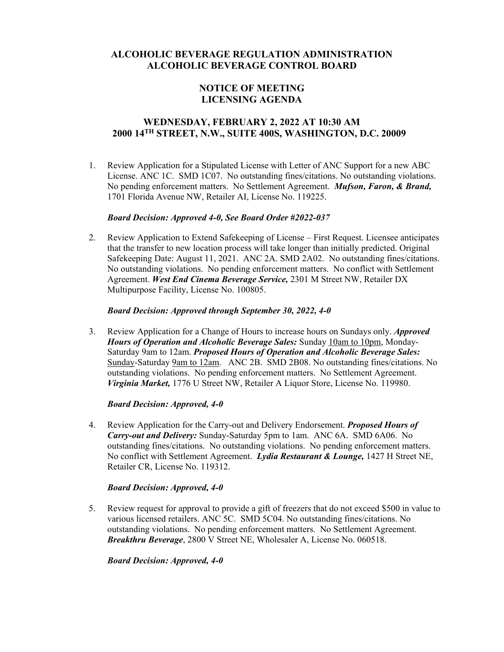## **NOTICE OF MEETING LICENSING AGENDA**

## **WEDNESDAY, FEBRUARY 2, 2022 AT 10:30 AM 2000 14TH STREET, N.W., SUITE 400S, WASHINGTON, D.C. 20009**

1. Review Application for a Stipulated License with Letter of ANC Support for a new ABC License. ANC 1C. SMD 1C07. No outstanding fines/citations. No outstanding violations. No pending enforcement matters. No Settlement Agreement. *Mufson, Faron, & Brand,*  1701 Florida Avenue NW, Retailer AI, License No. 119225.

#### *Board Decision: Approved 4-0, See Board Order #2022-037*

2. Review Application to Extend Safekeeping of License – First Request. Licensee anticipates that the transfer to new location process will take longer than initially predicted. Original Safekeeping Date: August 11, 2021. ANC 2A. SMD 2A02. No outstanding fines/citations. No outstanding violations. No pending enforcement matters. No conflict with Settlement Agreement. *West End Cinema Beverage Service,* 2301 M Street NW, Retailer DX Multipurpose Facility, License No. 100805.

#### *Board Decision: Approved through September 30, 2022, 4-0*

3. Review Application for a Change of Hours to increase hours on Sundays only. *Approved Hours of Operation and Alcoholic Beverage Sales:* Sunday 10am to 10pm, Monday-Saturday 9am to 12am. *Proposed Hours of Operation and Alcoholic Beverage Sales:* Sunday-Saturday 9am to 12am. ANC 2B. SMD 2B08. No outstanding fines/citations. No outstanding violations. No pending enforcement matters. No Settlement Agreement. *Virginia Market,* 1776 U Street NW, Retailer A Liquor Store, License No. 119980.

#### *Board Decision: Approved, 4-0*

4. Review Application for the Carry-out and Delivery Endorsement. *Proposed Hours of Carry-out and Delivery:* Sunday-Saturday 5pm to 1am. ANC 6A. SMD 6A06. No outstanding fines/citations. No outstanding violations. No pending enforcement matters. No conflict with Settlement Agreement. *Lydia Restaurant & Lounge,* 1427 H Street NE, Retailer CR, License No. 119312.

#### *Board Decision: Approved, 4-0*

5. Review request for approval to provide a gift of freezers that do not exceed \$500 in value to various licensed retailers. ANC 5C. SMD 5C04. No outstanding fines/citations. No outstanding violations. No pending enforcement matters. No Settlement Agreement. *Breakthru Beverage*, 2800 V Street NE, Wholesaler A, License No. 060518.

#### *Board Decision: Approved, 4-0*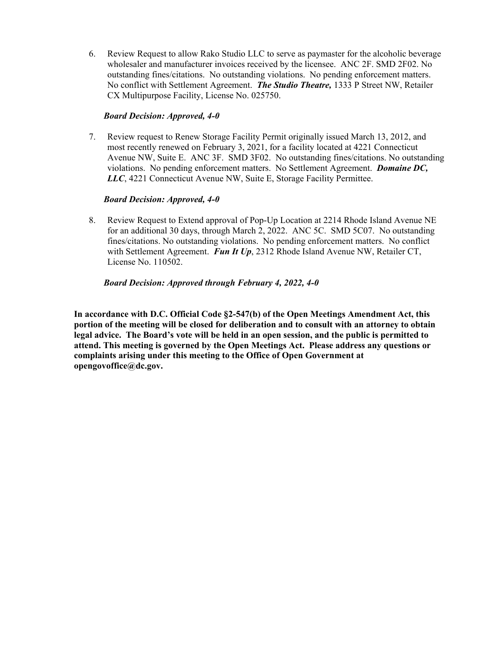6. Review Request to allow Rako Studio LLC to serve as paymaster for the alcoholic beverage wholesaler and manufacturer invoices received by the licensee. ANC 2F. SMD 2F02. No outstanding fines/citations. No outstanding violations. No pending enforcement matters. No conflict with Settlement Agreement. *The Studio Theatre,* 1333 P Street NW, Retailer CX Multipurpose Facility, License No. 025750.

### *Board Decision: Approved, 4-0*

7. Review request to Renew Storage Facility Permit originally issued March 13, 2012, and most recently renewed on February 3, 2021, for a facility located at 4221 Connecticut Avenue NW, Suite E. ANC 3F. SMD 3F02. No outstanding fines/citations. No outstanding violations. No pending enforcement matters. No Settlement Agreement. *Domaine DC, LLC*, 4221 Connecticut Avenue NW, Suite E, Storage Facility Permittee.

### *Board Decision: Approved, 4-0*

8. Review Request to Extend approval of Pop-Up Location at 2214 Rhode Island Avenue NE for an additional 30 days, through March 2, 2022. ANC 5C. SMD 5C07. No outstanding fines/citations. No outstanding violations. No pending enforcement matters. No conflict with Settlement Agreement. **Fun It Up**, 2312 Rhode Island Avenue NW, Retailer CT, License No. 110502.

#### *Board Decision: Approved through February 4, 2022, 4-0*

**In accordance with D.C. Official Code §2-547(b) of the Open Meetings Amendment Act, this portion of the meeting will be closed for deliberation and to consult with an attorney to obtain legal advice. The Board's vote will be held in an open session, and the public is permitted to attend. This meeting is governed by the Open Meetings Act. Please address any questions or complaints arising under this meeting to the Office of Open Government at opengovoffice@dc.gov.**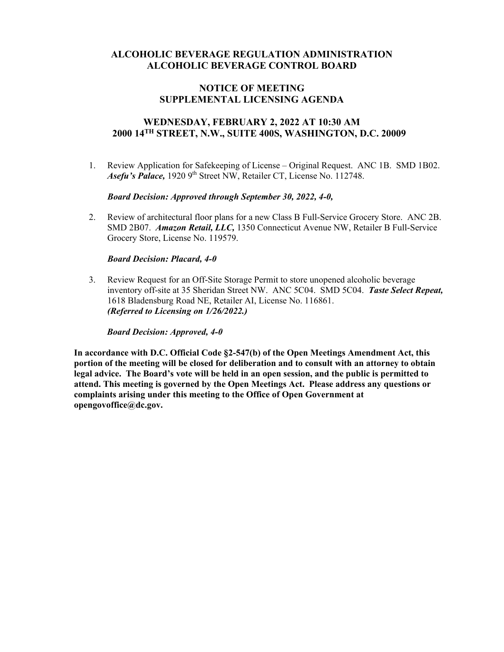### **NOTICE OF MEETING SUPPLEMENTAL LICENSING AGENDA**

## **WEDNESDAY, FEBRUARY 2, 2022 AT 10:30 AM 2000 14TH STREET, N.W., SUITE 400S, WASHINGTON, D.C. 20009**

1. Review Application for Safekeeping of License – Original Request. ANC 1B. SMD 1B02. Asefu's Palace, 1920 9<sup>th</sup> Street NW, Retailer CT, License No. 112748.

#### *Board Decision: Approved through September 30, 2022, 4-0,*

2. Review of architectural floor plans for a new Class B Full-Service Grocery Store. ANC 2B. SMD 2B07. *Amazon Retail, LLC,* 1350 Connecticut Avenue NW, Retailer B Full-Service Grocery Store, License No. 119579.

#### *Board Decision: Placard, 4-0*

3. Review Request for an Off-Site Storage Permit to store unopened alcoholic beverage inventory off-site at 35 Sheridan Street NW. ANC 5C04. SMD 5C04. *Taste Select Repeat,*  1618 Bladensburg Road NE, Retailer AI, License No. 116861. *(Referred to Licensing on 1/26/2022.)*

*Board Decision: Approved, 4-0*

**In accordance with D.C. Official Code §2-547(b) of the Open Meetings Amendment Act, this portion of the meeting will be closed for deliberation and to consult with an attorney to obtain legal advice. The Board's vote will be held in an open session, and the public is permitted to attend. This meeting is governed by the Open Meetings Act. Please address any questions or complaints arising under this meeting to the Office of Open Government at opengovoffice@dc.gov.**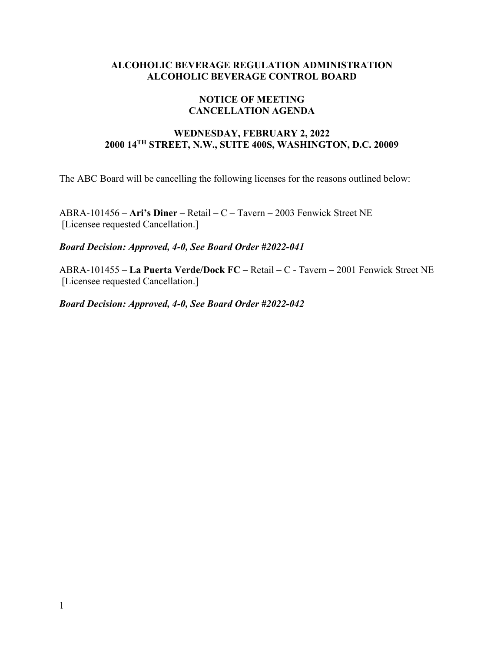## **NOTICE OF MEETING CANCELLATION AGENDA**

## **WEDNESDAY, FEBRUARY 2, 2022 2000 14TH STREET, N.W., SUITE 400S, WASHINGTON, D.C. 20009**

The ABC Board will be cancelling the following licenses for the reasons outlined below:

ABRA-101456 – **Ari's Diner –** Retail **–** C – Tavern **–** 2003 Fenwick Street NE [Licensee requested Cancellation.]

*Board Decision: Approved, 4-0, See Board Order #2022-041*

ABRA-101455 – **La Puerta Verde/Dock FC –** Retail **–** C - Tavern **–** 2001 Fenwick Street NE [Licensee requested Cancellation.]

*Board Decision: Approved, 4-0, See Board Order #2022-042*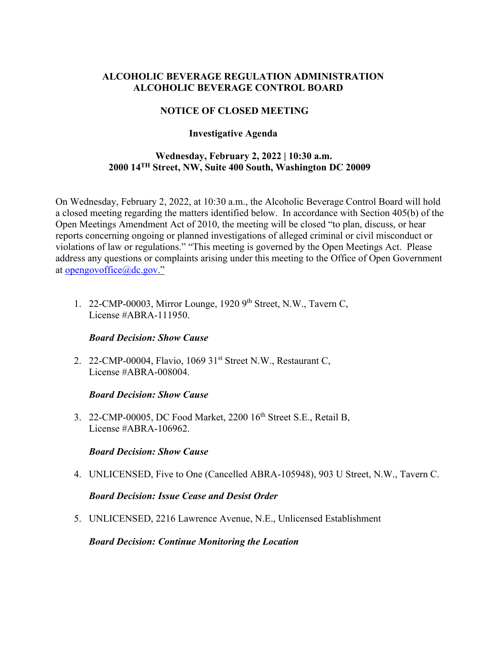## **NOTICE OF CLOSED MEETING**

## **Investigative Agenda**

## **Wednesday, February 2, 2022 | 10:30 a.m. 2000 14TH Street, NW, Suite 400 South, Washington DC 20009**

On Wednesday, February 2, 2022, at 10:30 a.m., the Alcoholic Beverage Control Board will hold a closed meeting regarding the matters identified below. In accordance with Section 405(b) of the Open Meetings Amendment Act of 2010, the meeting will be closed "to plan, discuss, or hear reports concerning ongoing or planned investigations of alleged criminal or civil misconduct or violations of law or regulations." "This meeting is governed by the Open Meetings Act. Please address any questions or complaints arising under this meeting to the Office of Open Government at [opengovoffice@dc.gov.](mailto:opengovoffice@dc.gov)"

1. 22-CMP-00003, Mirror Lounge, 1920 9<sup>th</sup> Street, N.W., Tavern C, License #ABRA-111950.

## *Board Decision: Show Cause*

2. 22-CMP-00004, Flavio, 1069 31<sup>st</sup> Street N.W., Restaurant C, License #ABRA-008004.

## *Board Decision: Show Cause*

3. 22-CMP-00005, DC Food Market, 2200 16<sup>th</sup> Street S.E., Retail B, License #ABRA-106962.

## *Board Decision: Show Cause*

4. UNLICENSED, Five to One (Cancelled ABRA-105948), 903 U Street, N.W., Tavern C.

## *Board Decision: Issue Cease and Desist Order*

5. UNLICENSED, 2216 Lawrence Avenue, N.E., Unlicensed Establishment

*Board Decision: Continue Monitoring the Location*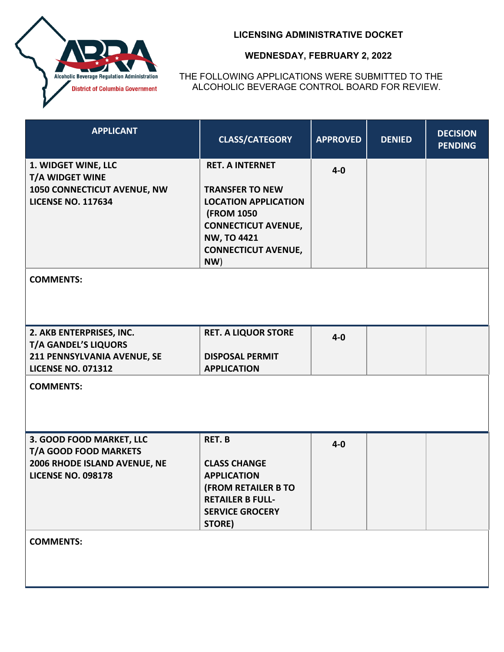

THE FOLLOWING APPLICATIONS WERE SUBMITTED TO THE ALCOHOLIC BEVERAGE CONTROL BOARD FOR REVIEW.

| <b>APPLICANT</b>                                                                                                    | <b>CLASS/CATEGORY</b>                                                                                                                                                                          | <b>APPROVED</b> | <b>DENIED</b> | <b>DECISION</b><br><b>PENDING</b> |
|---------------------------------------------------------------------------------------------------------------------|------------------------------------------------------------------------------------------------------------------------------------------------------------------------------------------------|-----------------|---------------|-----------------------------------|
| 1. WIDGET WINE, LLC<br><b>T/A WIDGET WINE</b><br>1050 CONNECTICUT AVENUE, NW<br><b>LICENSE NO. 117634</b>           | <b>RET. A INTERNET</b><br><b>TRANSFER TO NEW</b><br><b>LOCATION APPLICATION</b><br><b>(FROM 1050)</b><br><b>CONNECTICUT AVENUE,</b><br><b>NW, TO 4421</b><br><b>CONNECTICUT AVENUE,</b><br>NW) | $4 - 0$         |               |                                   |
| <b>COMMENTS:</b>                                                                                                    |                                                                                                                                                                                                |                 |               |                                   |
| 2. AKB ENTERPRISES, INC.<br><b>T/A GANDEL'S LIQUORS</b><br>211 PENNSYLVANIA AVENUE, SE<br><b>LICENSE NO. 071312</b> | <b>RET. A LIQUOR STORE</b><br><b>DISPOSAL PERMIT</b><br><b>APPLICATION</b>                                                                                                                     | $4 - 0$         |               |                                   |
| <b>COMMENTS:</b>                                                                                                    |                                                                                                                                                                                                |                 |               |                                   |
| 3. GOOD FOOD MARKET, LLC<br>T/A GOOD FOOD MARKETS<br>2006 RHODE ISLAND AVENUE, NE<br><b>LICENSE NO. 098178</b>      | <b>RET.B</b><br><b>CLASS CHANGE</b><br><b>APPLICATION</b><br><b>(FROM RETAILER B TO</b><br><b>RETAILER B FULL-</b><br><b>SERVICE GROCERY</b><br>STORE)                                         | $4 - 0$         |               |                                   |
| <b>COMMENTS:</b>                                                                                                    |                                                                                                                                                                                                |                 |               |                                   |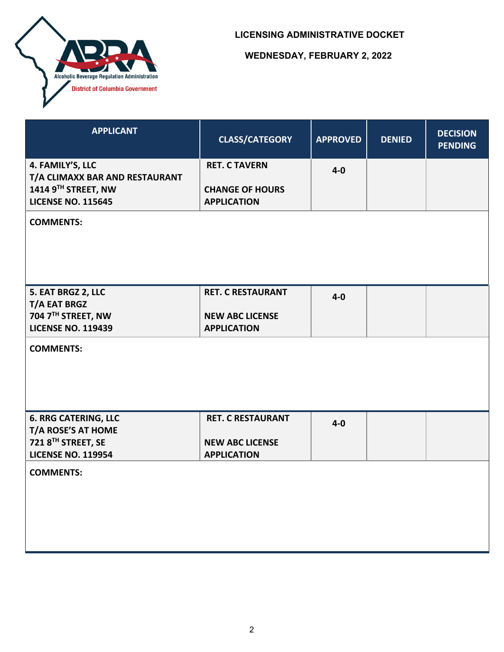

| <b>APPLICANT</b>                                                                   | <b>CLASS/CATEGORY</b>                        | <b>APPROVED</b> | <b>DENIED</b> | <b>DECISION</b><br><b>PENDING</b> |
|------------------------------------------------------------------------------------|----------------------------------------------|-----------------|---------------|-----------------------------------|
| 4. FAMILY'S, LLC                                                                   | <b>RET. C TAVERN</b>                         | $4-0$           |               |                                   |
| T/A CLIMAXX BAR AND RESTAURANT<br>1414 9TH STREET, NW<br><b>LICENSE NO. 115645</b> | <b>CHANGE OF HOURS</b><br><b>APPLICATION</b> |                 |               |                                   |
| <b>COMMENTS:</b>                                                                   |                                              |                 |               |                                   |
|                                                                                    |                                              |                 |               |                                   |
|                                                                                    |                                              |                 |               |                                   |
| 5. EAT BRGZ 2, LLC                                                                 | <b>RET. C RESTAURANT</b>                     | $4-0$           |               |                                   |
| <b>T/A EAT BRGZ</b><br>704 7TH STREET, NW                                          | <b>NEW ABC LICENSE</b>                       |                 |               |                                   |
| <b>LICENSE NO. 119439</b>                                                          | <b>APPLICATION</b>                           |                 |               |                                   |
| <b>COMMENTS:</b>                                                                   |                                              |                 |               |                                   |
| <b>6. RRG CATERING, LLC</b><br>T/A ROSE'S AT HOME                                  | <b>RET. C RESTAURANT</b>                     | $4-0$           |               |                                   |
| 721 8TH STREET, SE                                                                 | <b>NEW ABC LICENSE</b>                       |                 |               |                                   |
| <b>LICENSE NO. 119954</b>                                                          | <b>APPLICATION</b>                           |                 |               |                                   |
| <b>COMMENTS:</b>                                                                   |                                              |                 |               |                                   |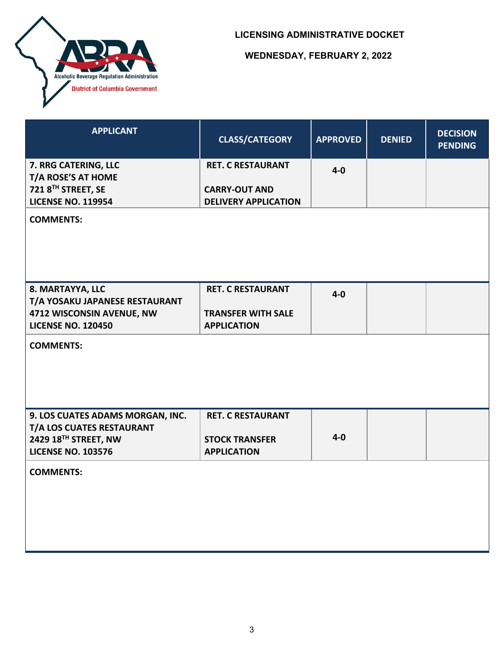

| <b>APPLICANT</b>                                              | <b>CLASS/CATEGORY</b>       | <b>APPROVED</b> | <b>DENIED</b> | <b>DECISION</b><br><b>PENDING</b> |
|---------------------------------------------------------------|-----------------------------|-----------------|---------------|-----------------------------------|
| 7. RRG CATERING, LLC                                          | <b>RET. C RESTAURANT</b>    | $4 - 0$         |               |                                   |
| T/A ROSE'S AT HOME<br>721 8TH STREET, SE                      | <b>CARRY-OUT AND</b>        |                 |               |                                   |
| <b>LICENSE NO. 119954</b>                                     | <b>DELIVERY APPLICATION</b> |                 |               |                                   |
| <b>COMMENTS:</b>                                              |                             |                 |               |                                   |
| 8. MARTAYYA, LLC                                              | <b>RET. C RESTAURANT</b>    | $4-0$           |               |                                   |
| T/A YOSAKU JAPANESE RESTAURANT<br>4712 WISCONSIN AVENUE, NW   | <b>TRANSFER WITH SALE</b>   |                 |               |                                   |
| <b>LICENSE NO. 120450</b>                                     | <b>APPLICATION</b>          |                 |               |                                   |
| <b>COMMENTS:</b>                                              |                             |                 |               |                                   |
| 9. LOS CUATES ADAMS MORGAN, INC.<br>T/A LOS CUATES RESTAURANT | <b>RET. C RESTAURANT</b>    |                 |               |                                   |
| 2429 18 <sup>TH</sup> STREET, NW                              | <b>STOCK TRANSFER</b>       | $4 - 0$         |               |                                   |
| <b>LICENSE NO. 103576</b>                                     | <b>APPLICATION</b>          |                 |               |                                   |
| <b>COMMENTS:</b>                                              |                             |                 |               |                                   |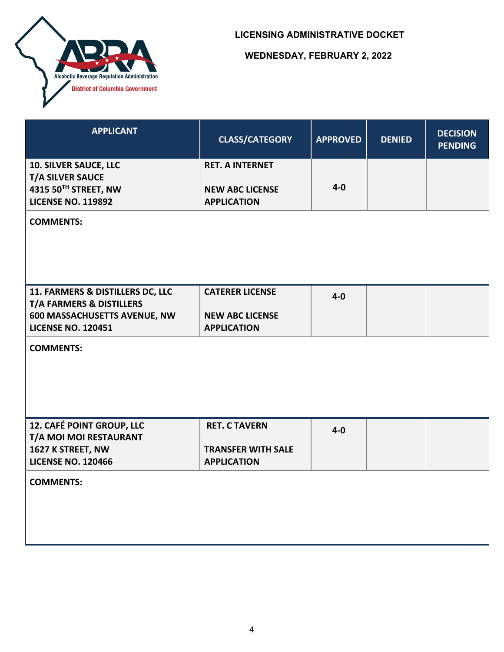

| <b>APPLICANT</b>                                                                | <b>CLASS/CATEGORY</b>                            | <b>APPROVED</b> | <b>DENIED</b> | <b>DECISION</b><br><b>PENDING</b> |
|---------------------------------------------------------------------------------|--------------------------------------------------|-----------------|---------------|-----------------------------------|
| <b>10. SILVER SAUCE, LLC</b><br><b>T/A SILVER SAUCE</b><br>4315 50TH STREET, NW | <b>RET. A INTERNET</b><br><b>NEW ABC LICENSE</b> | $4 - 0$         |               |                                   |
| <b>LICENSE NO. 119892</b>                                                       | <b>APPLICATION</b>                               |                 |               |                                   |
| <b>COMMENTS:</b>                                                                |                                                  |                 |               |                                   |
| 11. FARMERS & DISTILLERS DC, LLC<br><b>T/A FARMERS &amp; DISTILLERS</b>         | <b>CATERER LICENSE</b>                           | $4-0$           |               |                                   |
| 600 MASSACHUSETTS AVENUE, NW<br><b>LICENSE NO. 120451</b>                       | <b>NEW ABC LICENSE</b><br><b>APPLICATION</b>     |                 |               |                                   |
| <b>COMMENTS:</b>                                                                |                                                  |                 |               |                                   |
| 12. CAFÉ POINT GROUP, LLC<br>T/A MOI MOI RESTAURANT                             | <b>RET. C TAVERN</b>                             | $4 - 0$         |               |                                   |
| 1627 K STREET, NW<br><b>LICENSE NO. 120466</b>                                  | <b>TRANSFER WITH SALE</b><br><b>APPLICATION</b>  |                 |               |                                   |
| <b>COMMENTS:</b>                                                                |                                                  |                 |               |                                   |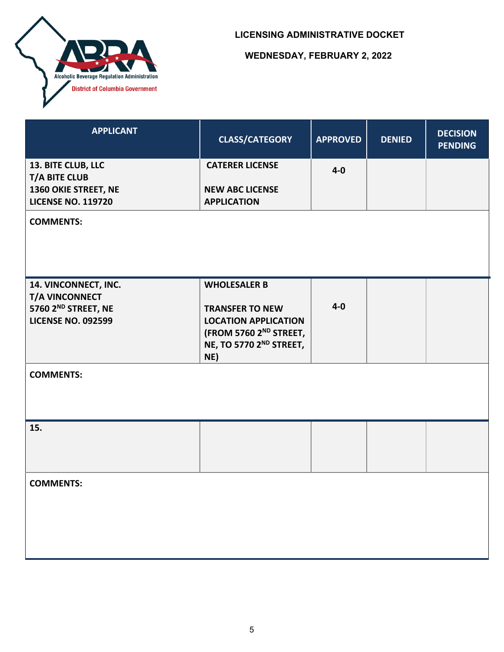

| <b>APPLICANT</b>                                  | <b>CLASS/CATEGORY</b>                                                | <b>APPROVED</b> | <b>DENIED</b> | <b>DECISION</b><br><b>PENDING</b> |
|---------------------------------------------------|----------------------------------------------------------------------|-----------------|---------------|-----------------------------------|
| 13. BITE CLUB, LLC<br><b>T/A BITE CLUB</b>        | <b>CATERER LICENSE</b>                                               | $4-0$           |               |                                   |
| 1360 OKIE STREET, NE<br><b>LICENSE NO. 119720</b> | <b>NEW ABC LICENSE</b><br><b>APPLICATION</b>                         |                 |               |                                   |
| <b>COMMENTS:</b>                                  |                                                                      |                 |               |                                   |
| 14. VINCONNECT, INC.<br>T/A VINCONNECT            | <b>WHOLESALER B</b>                                                  |                 |               |                                   |
| 5760 2 <sup>ND</sup> STREET, NE                   | <b>TRANSFER TO NEW</b>                                               | $4-0$           |               |                                   |
| <b>LICENSE NO. 092599</b>                         | <b>LOCATION APPLICATION</b>                                          |                 |               |                                   |
|                                                   | (FROM 5760 2 <sup>ND</sup> STREET,<br>NE, TO 5770 2ND STREET,<br>NE) |                 |               |                                   |
| <b>COMMENTS:</b>                                  |                                                                      |                 |               |                                   |
| 15.                                               |                                                                      |                 |               |                                   |
| <b>COMMENTS:</b>                                  |                                                                      |                 |               |                                   |
|                                                   |                                                                      |                 |               |                                   |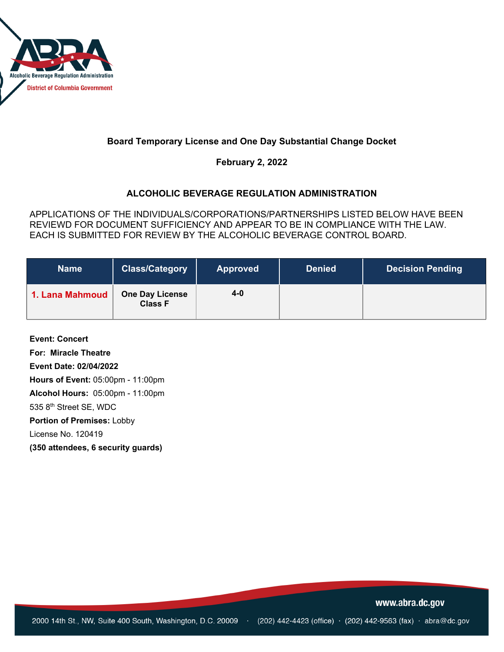

## **Board Temporary License and One Day Substantial Change Docket**

**February 2, 2022**

## **ALCOHOLIC BEVERAGE REGULATION ADMINISTRATION**

APPLICATIONS OF THE INDIVIDUALS/CORPORATIONS/PARTNERSHIPS LISTED BELOW HAVE BEEN REVIEWD FOR DOCUMENT SUFFICIENCY AND APPEAR TO BE IN COMPLIANCE WITH THE LAW. EACH IS SUBMITTED FOR REVIEW BY THE ALCOHOLIC BEVERAGE CONTROL BOARD.

| <b>Name</b>     | <b>Class/Category</b>                    | <b>Approved</b> | <b>Denied</b> | <b>Decision Pending</b> |
|-----------------|------------------------------------------|-----------------|---------------|-------------------------|
| 1. Lana Mahmoud | <b>One Day License</b><br><b>Class F</b> | $4 - 0$         |               |                         |

**Event: Concert For: Miracle Theatre Event Date: 02/04/2022 Hours of Event:** 05:00pm - 11:00pm **Alcohol Hours:** 05:00pm - 11:00pm 535 8th Street SE, WDC **Portion of Premises:** Lobby License No. 120419 **(350 attendees, 6 security guards)**

www.abra.dc.gov

2000 14th St., NW, Suite 400 South, Washington, D.C. 20009 · (202) 442-4423 (office) · (202) 442-9563 (fax) · abra@dc.gov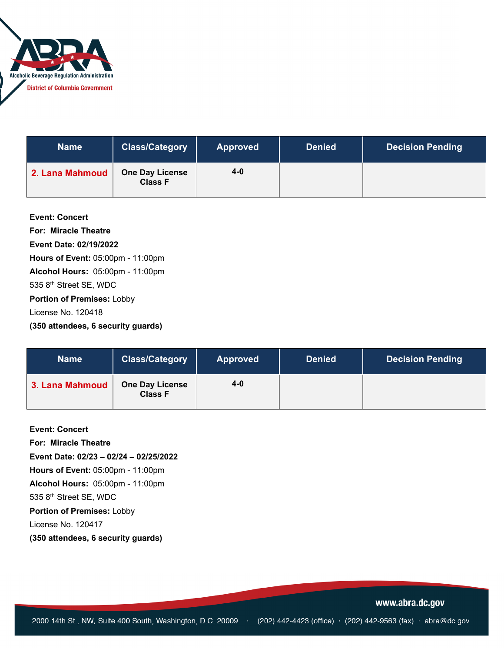

| <b>Name</b>     | <b>Class/Category</b>                    | <b>Approved</b> | <b>Denied</b> | <b>Decision Pending</b> |
|-----------------|------------------------------------------|-----------------|---------------|-------------------------|
| 2. Lana Mahmoud | <b>One Day License</b><br><b>Class F</b> | 4-0             |               |                         |

| <b>Event: Concert</b>                   |
|-----------------------------------------|
| For: Miracle Theatre                    |
| Event Date: 02/19/2022                  |
| Hours of Event: 05:00pm - 11:00pm       |
| <b>Alcohol Hours: 05:00pm - 11:00pm</b> |
| 535 8th Street SE, WDC                  |
| <b>Portion of Premises: Lobby</b>       |
| License No. 120418                      |
| (350 attendees, 6 security guards)      |

| <b>Name</b>     | <b>Class/Category</b>                    | <b>Approved</b> | <b>Denied</b> | <b>Decision Pending</b> |
|-----------------|------------------------------------------|-----------------|---------------|-------------------------|
| 3. Lana Mahmoud | <b>One Day License</b><br><b>Class F</b> | $4 - 0$         |               |                         |

**Event: Concert** 

**For: Miracle Theatre** 

**Event Date: 02/23 – 02/24 – 02/25/2022**

**Hours of Event:** 05:00pm - 11:00pm

**Alcohol Hours:** 05:00pm - 11:00pm

535 8th Street SE, WDC

**Portion of Premises:** Lobby

License No. 120417

**(350 attendees, 6 security guards)**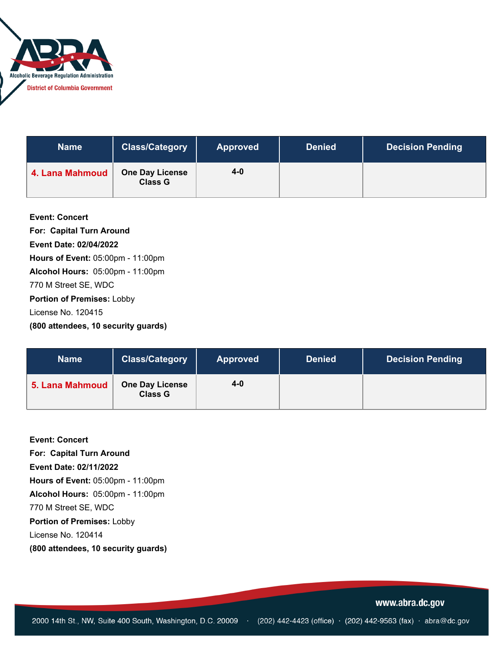

| <b>Name</b>     | <b>Class/Category</b>                    | <b>Approved</b> | <b>Denied</b> | <b>Decision Pending</b> |
|-----------------|------------------------------------------|-----------------|---------------|-------------------------|
| 4. Lana Mahmoud | <b>One Day License</b><br><b>Class G</b> | 4-0             |               |                         |

| <b>Event: Concert</b>                   |
|-----------------------------------------|
| <b>For: Capital Turn Around</b>         |
| Event Date: 02/04/2022                  |
| Hours of Event: 05:00pm - 11:00pm       |
| <b>Alcohol Hours: 05:00pm - 11:00pm</b> |
| 770 M Street SE, WDC                    |
| Portion of Premises: Lobby              |
| License No. 120415                      |
| (800 attendees, 10 security guards)     |

| <b>Name</b>     | <b>Class/Category</b>                    | <b>Approved</b> | <b>Denied</b> | <b>Decision Pending</b> |
|-----------------|------------------------------------------|-----------------|---------------|-------------------------|
| 5. Lana Mahmoud | <b>One Day License</b><br><b>Class G</b> | $4 - 0$         |               |                         |

**Event: Concert For: Capital Turn Around Event Date: 02/11/2022 Hours of Event:** 05:00pm - 11:00pm **Alcohol Hours:** 05:00pm - 11:00pm 770 M Street SE, WDC **Portion of Premises:** Lobby License No. 120414 **(800 attendees, 10 security guards)**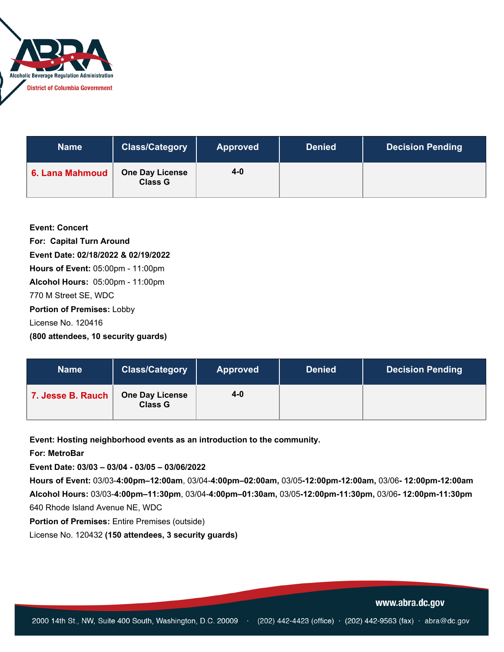

| <b>Name</b>     | <b>Class/Category</b>                    | <b>Approved</b> | <b>Denied</b> | <b>Decision Pending</b> |
|-----------------|------------------------------------------|-----------------|---------------|-------------------------|
| 6. Lana Mahmoud | <b>One Day License</b><br><b>Class G</b> | 4-0             |               |                         |

**Event: Concert For: Capital Turn Around Event Date: 02/18/2022 & 02/19/2022 Hours of Event:** 05:00pm - 11:00pm **Alcohol Hours:** 05:00pm - 11:00pm 770 M Street SE, WDC **Portion of Premises:** Lobby License No. 120416

**(800 attendees, 10 security guards)**

| <b>Name</b>       | <b>Class/Category</b>                    | <b>Approved</b> | <b>Denied</b> | <b>Decision Pending</b> |
|-------------------|------------------------------------------|-----------------|---------------|-------------------------|
| 7. Jesse B. Rauch | <b>One Day License</b><br><b>Class G</b> | 4-0             |               |                         |

**Event: Hosting neighborhood events as an introduction to the community.**

**For: MetroBar**

**Event Date: 03/03 – 03/04 - 03/05 – 03/06/2022**

**Hours of Event:** 03/03-**4:00pm–12:00am**, 03/04-**4:00pm–02:00am,** 03/05**-12:00pm-12:00am,** 03/06**- 12:00pm-12:00am Alcohol Hours:** 03/03-**4:00pm–11:30pm**, 03/04-**4:00pm–01:30am,** 03/05**-12:00pm-11:30pm,** 03/06**- 12:00pm-11:30pm** 640 Rhode Island Avenue NE, WDC

**Portion of Premises:** Entire Premises (outside)

License No. 120432 **(150 attendees, 3 security guards)**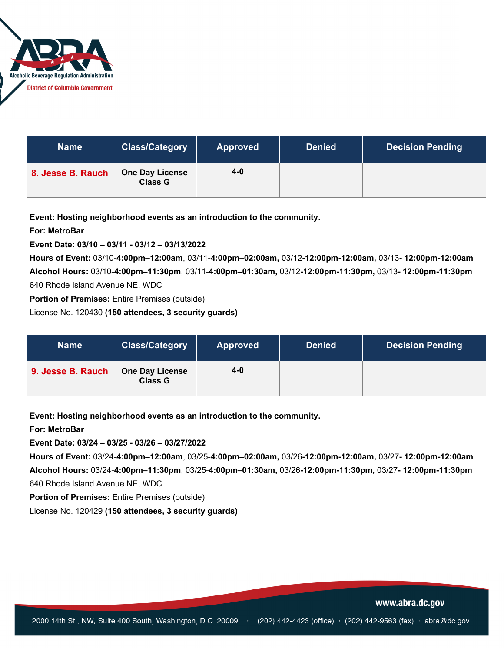

| <b>Name</b>       | <b>Class/Category</b>                    | <b>Approved</b> | <b>Denied</b> | <b>Decision Pending</b> |
|-------------------|------------------------------------------|-----------------|---------------|-------------------------|
| 8. Jesse B. Rauch | <b>One Day License</b><br><b>Class G</b> | 4-0             |               |                         |

**Event: Hosting neighborhood events as an introduction to the community.**

### **For: MetroBar**

**Event Date: 03/10 – 03/11 - 03/12 – 03/13/2022**

**Hours of Event:** 03/10-**4:00pm–12:00am**, 03/11-**4:00pm–02:00am,** 03/12**-12:00pm-12:00am,** 03/13**- 12:00pm-12:00am Alcohol Hours:** 03/10-**4:00pm–11:30pm**, 03/11-**4:00pm–01:30am,** 03/12**-12:00pm-11:30pm,** 03/13**- 12:00pm-11:30pm** 640 Rhode Island Avenue NE, WDC

**Portion of Premises:** Entire Premises (outside)

License No. 120430 **(150 attendees, 3 security guards)**

| <b>Name</b>       | <b>Class/Category</b>                    | <b>Approved</b> | <b>Denied</b> | <b>Decision Pending</b> |
|-------------------|------------------------------------------|-----------------|---------------|-------------------------|
| 9. Jesse B. Rauch | <b>One Day License</b><br><b>Class G</b> | $4 - 0$         |               |                         |

**Event: Hosting neighborhood events as an introduction to the community.**

#### **For: MetroBar**

**Event Date: 03/24 – 03/25 - 03/26 – 03/27/2022**

**Hours of Event:** 03/24-**4:00pm–12:00am**, 03/25-**4:00pm–02:00am,** 03/26**-12:00pm-12:00am,** 03/27**- 12:00pm-12:00am Alcohol Hours:** 03/24-**4:00pm–11:30pm**, 03/25-**4:00pm–01:30am,** 03/26**-12:00pm-11:30pm,** 03/27**- 12:00pm-11:30pm** 640 Rhode Island Avenue NE, WDC

**Portion of Premises:** Entire Premises (outside)

License No. 120429 **(150 attendees, 3 security guards)**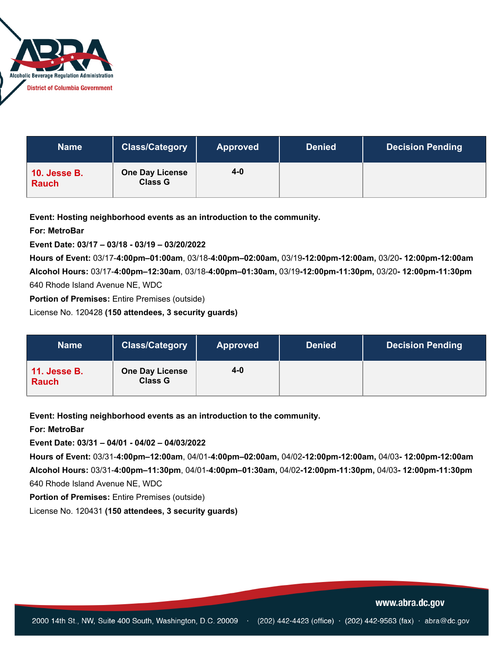

| <b>Name</b>                         | <b>Class/Category</b>                    | <b>Approved</b> | <b>Denied</b> | <b>Decision Pending</b> |
|-------------------------------------|------------------------------------------|-----------------|---------------|-------------------------|
| <b>10. Jesse B.</b><br><b>Rauch</b> | <b>One Day License</b><br><b>Class G</b> | 4-0             |               |                         |

**Event: Hosting neighborhood events as an introduction to the community.**

### **For: MetroBar**

**Event Date: 03/17 – 03/18 - 03/19 – 03/20/2022**

**Hours of Event:** 03/17-**4:00pm–01:00am**, 03/18-**4:00pm–02:00am,** 03/19**-12:00pm-12:00am,** 03/20**- 12:00pm-12:00am Alcohol Hours:** 03/17-**4:00pm–12:30am**, 03/18-**4:00pm–01:30am,** 03/19**-12:00pm-11:30pm,** 03/20**- 12:00pm-11:30pm** 640 Rhode Island Avenue NE, WDC

**Portion of Premises:** Entire Premises (outside)

License No. 120428 **(150 attendees, 3 security guards)**

| <b>Name</b>                         | <b>Class/Category</b>                    | <b>Approved</b> | <b>Denied</b> | <b>Decision Pending</b> |
|-------------------------------------|------------------------------------------|-----------------|---------------|-------------------------|
| <b>11. Jesse B.</b><br><b>Rauch</b> | <b>One Day License</b><br><b>Class G</b> | $4 - 0$         |               |                         |

**Event: Hosting neighborhood events as an introduction to the community.**

#### **For: MetroBar**

**Event Date: 03/31 – 04/01 - 04/02 – 04/03/2022**

**Hours of Event:** 03/31-**4:00pm–12:00am**, 04/01-**4:00pm–02:00am,** 04/02**-12:00pm-12:00am,** 04/03**- 12:00pm-12:00am Alcohol Hours:** 03/31-**4:00pm–11:30pm**, 04/01-**4:00pm–01:30am,** 04/02**-12:00pm-11:30pm,** 04/03**- 12:00pm-11:30pm** 640 Rhode Island Avenue NE, WDC

**Portion of Premises:** Entire Premises (outside)

License No. 120431 **(150 attendees, 3 security guards)**